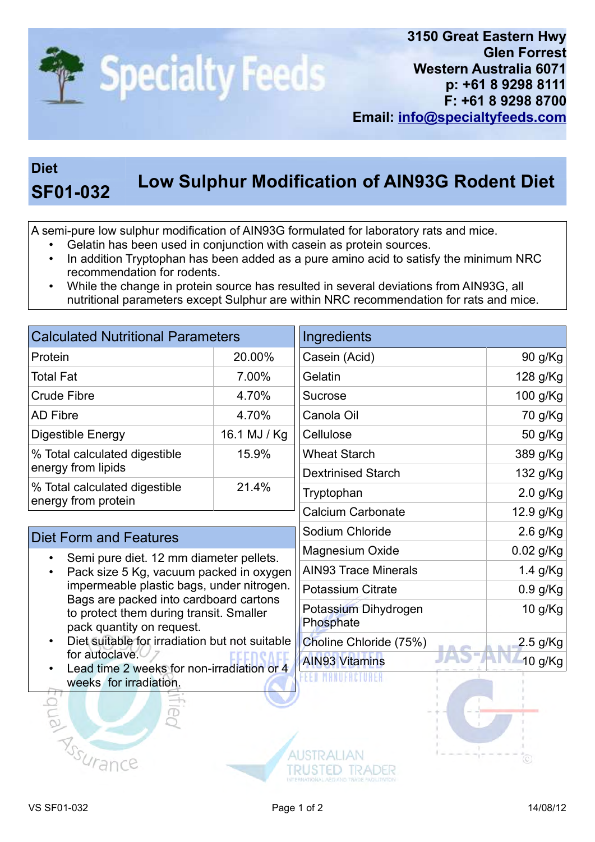

## Diet

## Low Sulphur Modification of AIN93G Rodent Diet

A semi-pure low sulphur modification of AIN93G formulated for laboratory rats and mice.

- Gelatin has been used in conjunction with casein as protein sources.
- In addition Tryptophan has been added as a pure amino acid to satisfy the minimum NRC recommendation for rodents.
- While the change in protein source has resulted in several deviations from AIN93G, all nutritional parameters except Sulphur are within NRC recommendation for rats and mice.

| <b>Calculated Nutritional Parameters</b>             |              | Ingredients               |            |
|------------------------------------------------------|--------------|---------------------------|------------|
| Protein                                              | 20.00%       | Casein (Acid)             | 90 g/Kg    |
| <b>Total Fat</b>                                     | 7.00%        | Gelatin                   | 128 g/Kg   |
| <b>Crude Fibre</b>                                   | 4.70%        | Sucrose                   | 100 g/Kg   |
| <b>AD Fibre</b>                                      | 4.70%        | Canola Oil                | 70 g/Kg    |
| <b>Digestible Energy</b>                             | 16.1 MJ / Kg | Cellulose                 | 50 g/Kg    |
| % Total calculated digestible<br>energy from lipids  | 15.9%        | <b>Wheat Starch</b>       | 389 g/Kg   |
|                                                      |              | <b>Dextrinised Starch</b> | 132 g/Kg   |
| % Total calculated digestible<br>energy from protein | 21.4%        | Tryptophan                | $2.0$ g/Kg |
|                                                      |              | <b>Calcium Carbonate</b>  | 12.9 g/Kg  |
| Dipt Form and Footures                               |              | Sodium Chloride           | 2.6 $g/Kg$ |

## Diet Form and Features

- Semi pure diet. 12 mm diameter pellets.
- Pack size 5 Kg, vacuum packed in oxygen impermeable plastic bags, under nitrogen. Bags are packed into cardboard cartons to protect them during transit. Smaller pack quantity on request.
- Diet suitable for irradiation but not suitable for autoclave.
- Lead time 2 weeks for non-irradiation or 4 weeks for irradiation. Equal



Magnesium Oxide 6.02 g/Kg AIN93 Trace Minerals 1.4 g/Kg Potassium Citrate **120 COV COVERSI** D.9 g/Kg

Choline Chloride (75%) 2.5 g/Kg

Potassium Dihydrogen

Phosphate

**AUSTRALIAN** 

TRUSTED TRADER

EEO MANUFACTURER

**Assurance** 

10 g/Kg